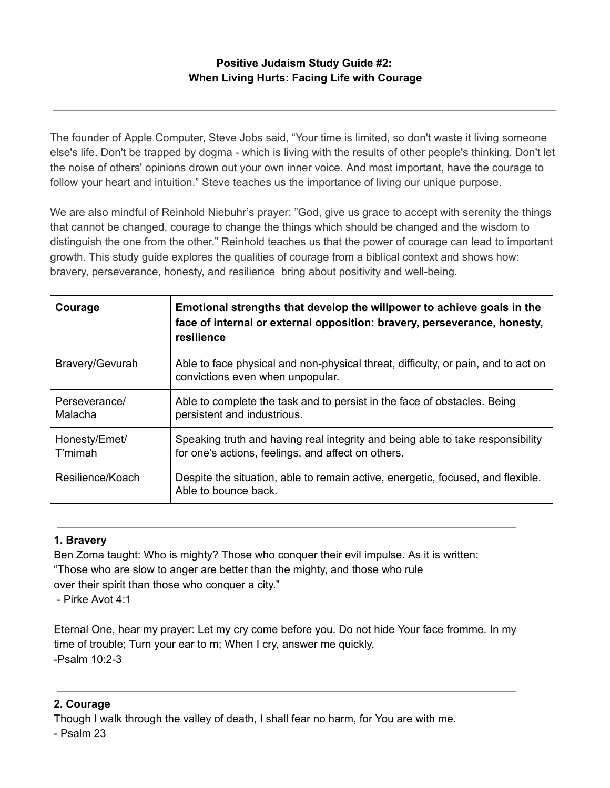# **Positive Judaism Study Guide #2: When Living Hurts: Facing Life with Courage**

The founder of Apple Computer, Steve Jobs said, "Your time is limited, so don't waste it living someone else's life. Don't be trapped by dogma - which is living with the results of other people's thinking. Don't let the noise of others' opinions drown out your own inner voice. And most important, have the courage to follow your heart and intuition." Steve teaches us the importance of living our unique purpose.

We are also mindful of Reinhold Niebuhr's prayer: "God, give us grace to accept with serenity the things that cannot be changed, courage to change the things which should be changed and the wisdom to distinguish the one from the other." Reinhold teaches us that the power of courage can lead to important growth. This study guide explores the qualities of courage from a biblical context and shows how: bravery, perseverance, honesty, and resilience bring about positivity and well-being.

| Courage                  | Emotional strengths that develop the willpower to achieve goals in the<br>face of internal or external opposition: bravery, perseverance, honesty,<br>resilience |
|--------------------------|------------------------------------------------------------------------------------------------------------------------------------------------------------------|
| Bravery/Gevurah          | Able to face physical and non-physical threat, difficulty, or pain, and to act on<br>convictions even when unpopular.                                            |
| Perseverance/<br>Malacha | Able to complete the task and to persist in the face of obstacles. Being<br>persistent and industrious.                                                          |
| Honesty/Emet/<br>T'mimah | Speaking truth and having real integrity and being able to take responsibility<br>for one's actions, feelings, and affect on others.                             |
| Resilience/Koach         | Despite the situation, able to remain active, energetic, focused, and flexible.<br>Able to bounce back.                                                          |

# **1. Bravery**

Ben Zoma taught: Who is mighty? Those who conquer their evil impulse. As it is written: "Those who are slow to anger are better than the mighty, and those who rule over their spirit than those who conquer a city."

- Pirke Avot 4:1

Eternal One, hear my prayer: Let my cry come before you. Do not hide Your face fromme. In my time of trouble; Turn your ear to m; When I cry, answer me quickly. -Psalm 10:2-3

### **2. Courage**

Though I walk through the valley of death, I shall fear no harm, for You are with me.

- Psalm 23